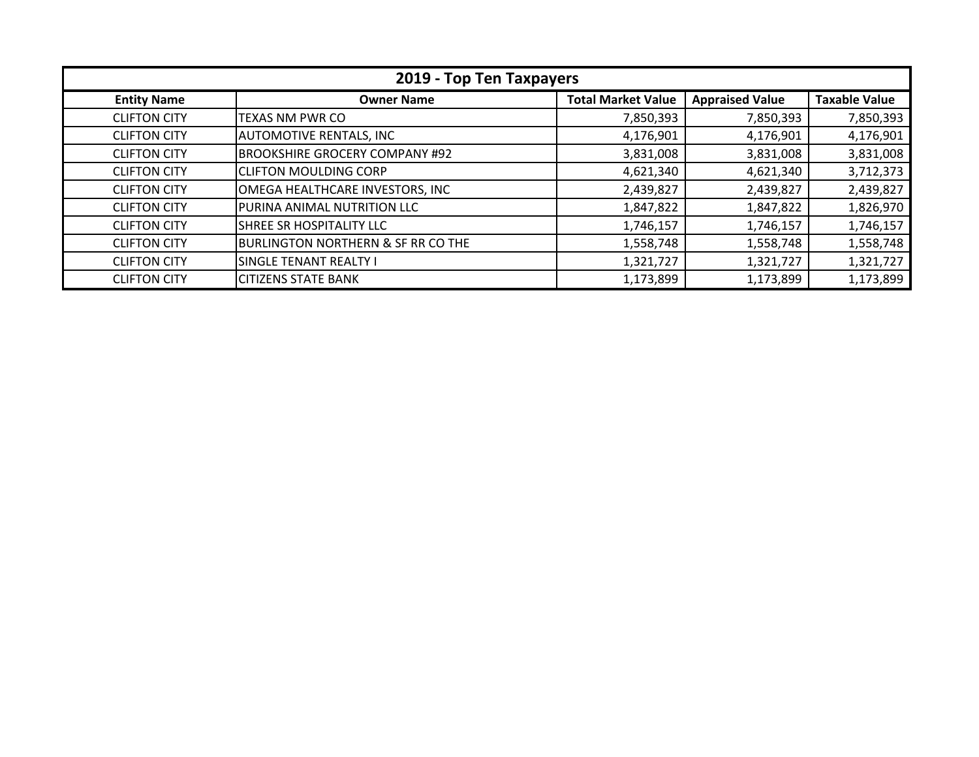| 2019 - Top Ten Taxpayers |                                       |                           |                        |                      |
|--------------------------|---------------------------------------|---------------------------|------------------------|----------------------|
| <b>Entity Name</b>       | <b>Owner Name</b>                     | <b>Total Market Value</b> | <b>Appraised Value</b> | <b>Taxable Value</b> |
| <b>CLIFTON CITY</b>      | <b>TEXAS NM PWR CO</b>                | 7,850,393                 | 7,850,393              | 7,850,393            |
| <b>CLIFTON CITY</b>      | <b>AUTOMOTIVE RENTALS, INC</b>        | 4,176,901                 | 4,176,901              | 4,176,901            |
| <b>CLIFTON CITY</b>      | <b>BROOKSHIRE GROCERY COMPANY #92</b> | 3,831,008                 | 3,831,008              | 3,831,008            |
| <b>CLIFTON CITY</b>      | <b>CLIFTON MOULDING CORP</b>          | 4,621,340                 | 4,621,340              | 3,712,373            |
| <b>CLIFTON CITY</b>      | OMEGA HEALTHCARE INVESTORS, INC       | 2,439,827                 | 2,439,827              | 2,439,827            |
| <b>CLIFTON CITY</b>      | PURINA ANIMAL NUTRITION LLC           | 1,847,822                 | 1,847,822              | 1,826,970            |
| <b>CLIFTON CITY</b>      | <b>SHREE SR HOSPITALITY LLC</b>       | 1,746,157                 | 1,746,157              | 1,746,157            |
| <b>CLIFTON CITY</b>      | BURLINGTON NORTHERN & SF RR CO THE    | 1,558,748                 | 1,558,748              | 1,558,748            |
| <b>CLIFTON CITY</b>      | SINGLE TENANT REALTY I                | 1,321,727                 | 1,321,727              | 1,321,727            |
| <b>CLIFTON CITY</b>      | <b>CITIZENS STATE BANK</b>            | 1,173,899                 | 1,173,899              | 1,173,899            |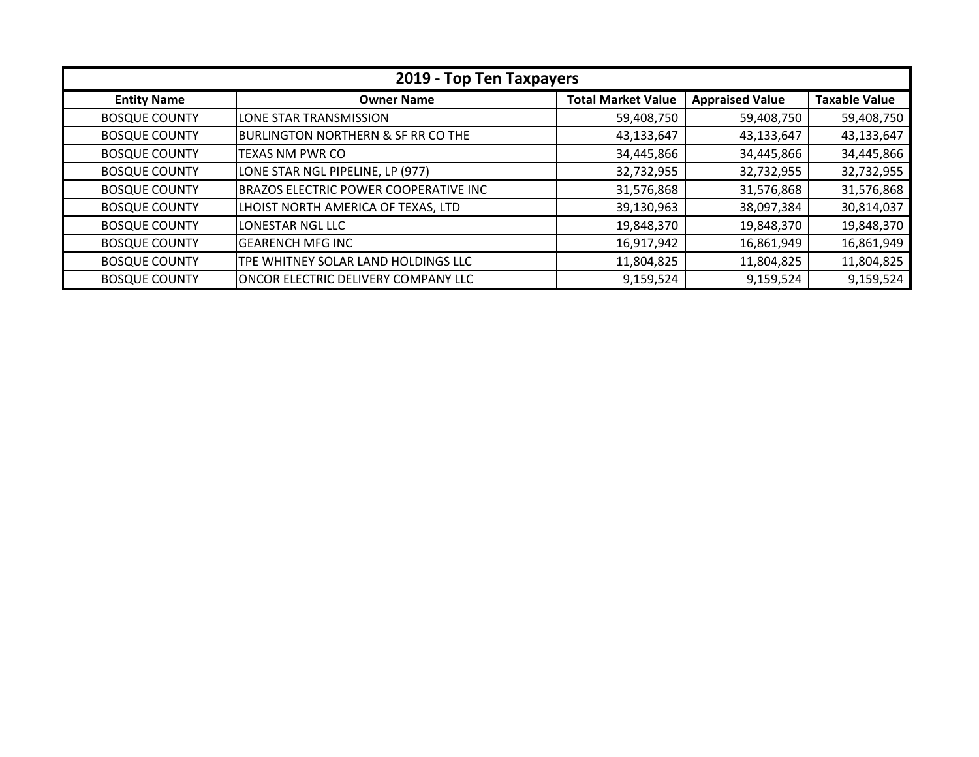| 2019 - Top Ten Taxpayers |                                               |                           |                        |                      |
|--------------------------|-----------------------------------------------|---------------------------|------------------------|----------------------|
| <b>Entity Name</b>       | <b>Owner Name</b>                             | <b>Total Market Value</b> | <b>Appraised Value</b> | <b>Taxable Value</b> |
| <b>BOSQUE COUNTY</b>     | LONE STAR TRANSMISSION                        | 59,408,750                | 59,408,750             | 59,408,750           |
| <b>BOSQUE COUNTY</b>     | <b>BURLINGTON NORTHERN &amp; SF RR CO THE</b> | 43,133,647                | 43,133,647             | 43,133,647           |
| <b>BOSQUE COUNTY</b>     | TEXAS NM PWR CO                               | 34,445,866                | 34,445,866             | 34,445,866           |
| <b>BOSQUE COUNTY</b>     | LONE STAR NGL PIPELINE, LP (977)              | 32,732,955                | 32,732,955             | 32,732,955           |
| <b>BOSQUE COUNTY</b>     | <b>BRAZOS ELECTRIC POWER COOPERATIVE INC</b>  | 31,576,868                | 31,576,868             | 31,576,868           |
| <b>BOSQUE COUNTY</b>     | LHOIST NORTH AMERICA OF TEXAS, LTD            | 39,130,963                | 38,097,384             | 30,814,037           |
| <b>BOSQUE COUNTY</b>     | LONESTAR NGL LLC                              | 19,848,370                | 19,848,370             | 19,848,370           |
| <b>BOSQUE COUNTY</b>     | <b>GEARENCH MFG INC</b>                       | 16,917,942                | 16,861,949             | 16,861,949           |
| <b>BOSQUE COUNTY</b>     | TPE WHITNEY SOLAR LAND HOLDINGS LLC           | 11,804,825                | 11,804,825             | 11,804,825           |
| <b>BOSQUE COUNTY</b>     | IONCOR ELECTRIC DELIVERY COMPANY LLC          | 9,159,524                 | 9,159,524              | 9,159,524            |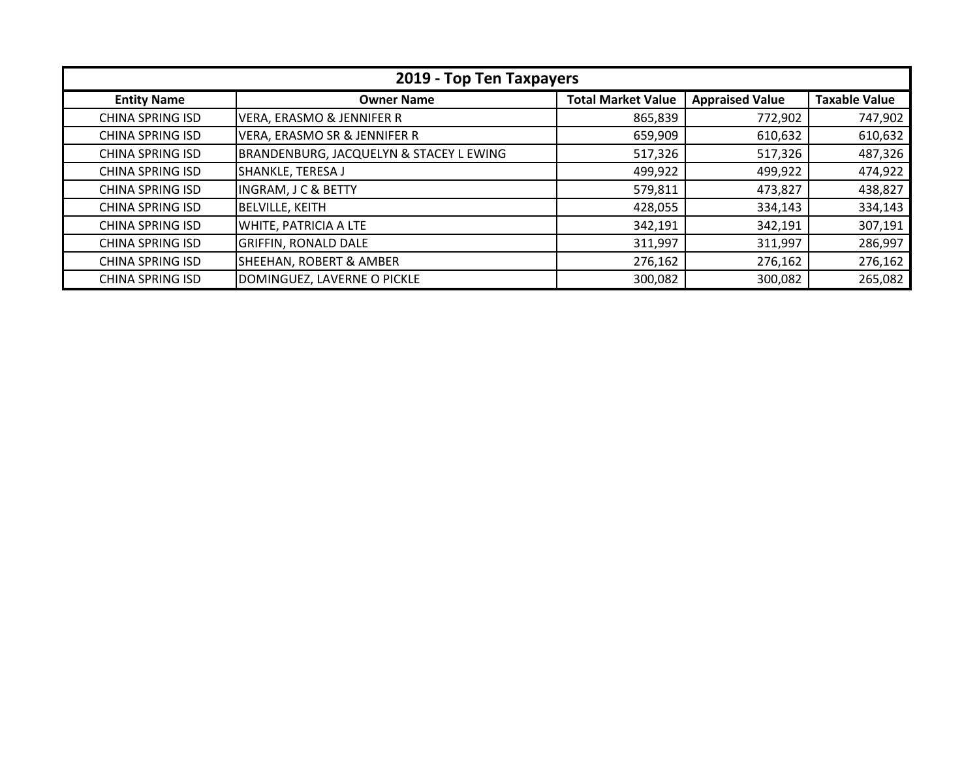| 2019 - Top Ten Taxpayers |                                         |                           |                        |                      |
|--------------------------|-----------------------------------------|---------------------------|------------------------|----------------------|
| <b>Entity Name</b>       | <b>Owner Name</b>                       | <b>Total Market Value</b> | <b>Appraised Value</b> | <b>Taxable Value</b> |
| <b>CHINA SPRING ISD</b>  | <b>VERA, ERASMO &amp; JENNIFER R</b>    | 865,839                   | 772,902                | 747,902              |
| <b>CHINA SPRING ISD</b>  | VERA, ERASMO SR & JENNIFER R            | 659,909                   | 610,632                | 610,632              |
| <b>CHINA SPRING ISD</b>  | BRANDENBURG, JACQUELYN & STACEY L EWING | 517,326                   | 517,326                | 487,326              |
| <b>CHINA SPRING ISD</b>  | SHANKLE, TERESA J                       | 499,922                   | 499,922                | 474,922              |
| <b>CHINA SPRING ISD</b>  | <b>INGRAM, J C &amp; BETTY</b>          | 579,811                   | 473,827                | 438,827              |
| <b>CHINA SPRING ISD</b>  | <b>BELVILLE, KEITH</b>                  | 428,055                   | 334,143                | 334,143              |
| <b>CHINA SPRING ISD</b>  | WHITE, PATRICIA A LTE                   | 342,191                   | 342,191                | 307,191              |
| <b>CHINA SPRING ISD</b>  | <b>GRIFFIN, RONALD DALE</b>             | 311,997                   | 311,997                | 286,997              |
| <b>CHINA SPRING ISD</b>  | SHEEHAN, ROBERT & AMBER                 | 276,162                   | 276,162                | 276,162              |
| <b>CHINA SPRING ISD</b>  | DOMINGUEZ, LAVERNE O PICKLE             | 300,082                   | 300,082                | 265,082              |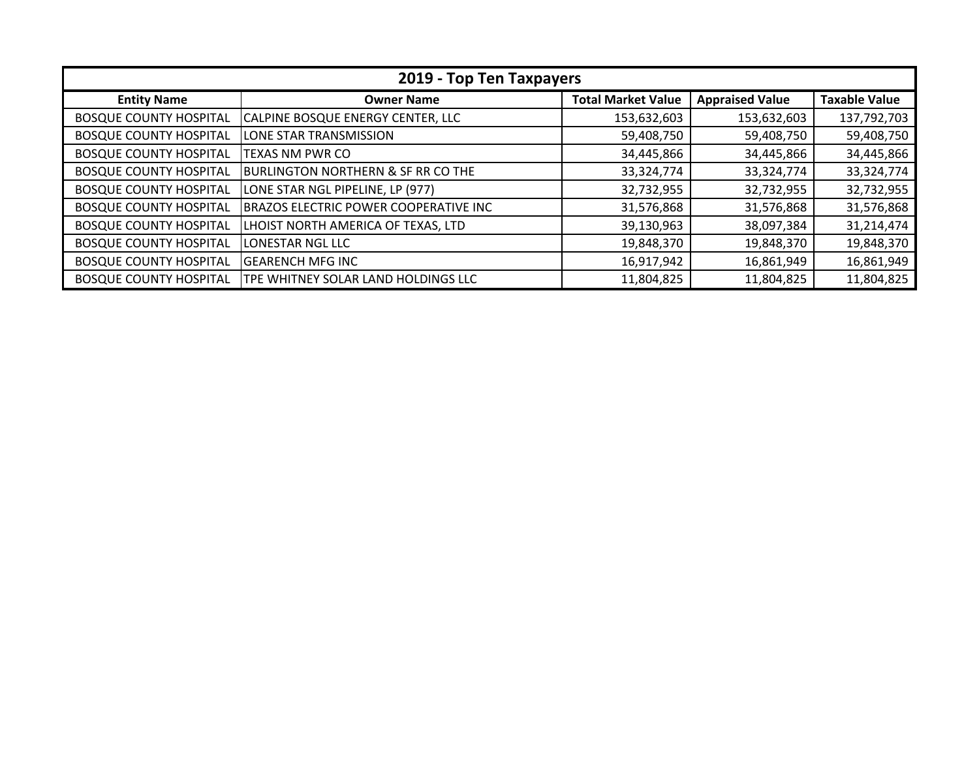| 2019 - Top Ten Taxpayers      |                                               |                           |                        |                      |  |
|-------------------------------|-----------------------------------------------|---------------------------|------------------------|----------------------|--|
| <b>Entity Name</b>            | <b>Owner Name</b>                             | <b>Total Market Value</b> | <b>Appraised Value</b> | <b>Taxable Value</b> |  |
| <b>BOSQUE COUNTY HOSPITAL</b> | CALPINE BOSQUE ENERGY CENTER, LLC             | 153,632,603               | 153,632,603            | 137,792,703          |  |
| <b>BOSQUE COUNTY HOSPITAL</b> | LONE STAR TRANSMISSION                        | 59,408,750                | 59,408,750             | 59,408,750           |  |
| <b>BOSQUE COUNTY HOSPITAL</b> | <b>TEXAS NM PWR CO</b>                        | 34,445,866                | 34,445,866             | 34,445,866           |  |
| <b>BOSQUE COUNTY HOSPITAL</b> | <b>BURLINGTON NORTHERN &amp; SF RR CO THE</b> | 33,324,774                | 33,324,774             | 33,324,774           |  |
| <b>BOSQUE COUNTY HOSPITAL</b> | LONE STAR NGL PIPELINE, LP (977)              | 32,732,955                | 32,732,955             | 32,732,955           |  |
| <b>BOSQUE COUNTY HOSPITAL</b> | BRAZOS ELECTRIC POWER COOPERATIVE INC         | 31,576,868                | 31,576,868             | 31,576,868           |  |
| <b>BOSQUE COUNTY HOSPITAL</b> | LHOIST NORTH AMERICA OF TEXAS, LTD            | 39,130,963                | 38,097,384             | 31,214,474           |  |
| <b>BOSQUE COUNTY HOSPITAL</b> | <b>LONESTAR NGL LLC</b>                       | 19,848,370                | 19,848,370             | 19,848,370           |  |
| <b>BOSQUE COUNTY HOSPITAL</b> | <b>GEARENCH MFG INC</b>                       | 16,917,942                | 16,861,949             | 16,861,949           |  |
| <b>BOSQUE COUNTY HOSPITAL</b> | TPE WHITNEY SOLAR LAND HOLDINGS LLC           | 11,804,825                | 11,804,825             | 11,804,825           |  |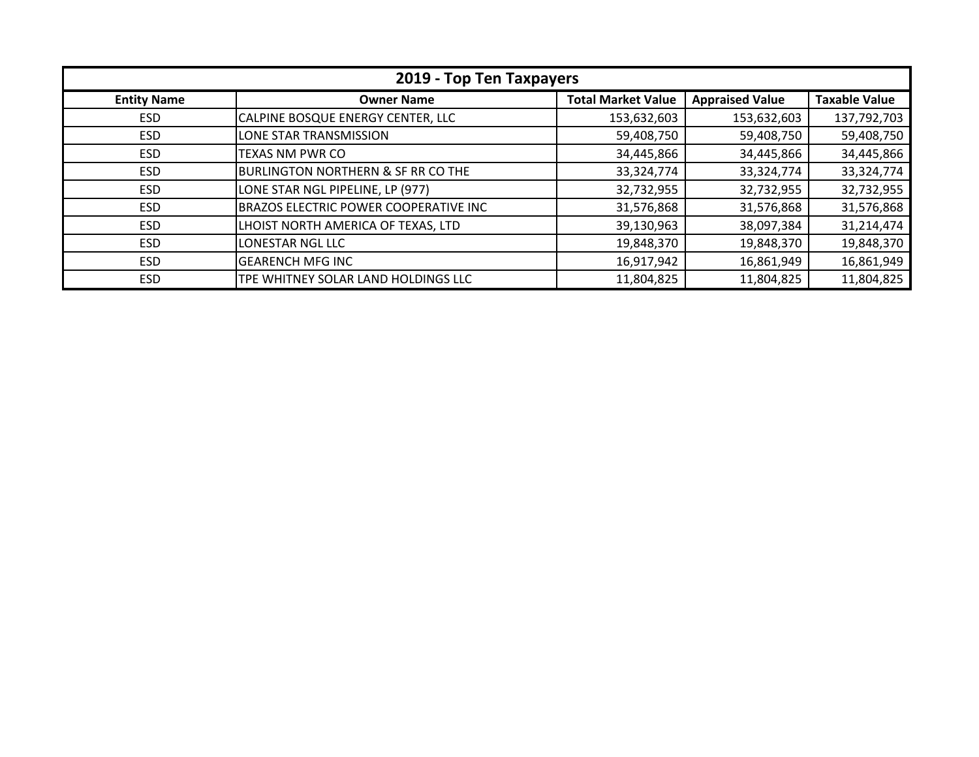| 2019 - Top Ten Taxpayers |                                               |                           |                        |                      |
|--------------------------|-----------------------------------------------|---------------------------|------------------------|----------------------|
| <b>Entity Name</b>       | <b>Owner Name</b>                             | <b>Total Market Value</b> | <b>Appraised Value</b> | <b>Taxable Value</b> |
| <b>ESD</b>               | CALPINE BOSQUE ENERGY CENTER, LLC             | 153,632,603               | 153,632,603            | 137,792,703          |
| <b>ESD</b>               | LONE STAR TRANSMISSION                        | 59,408,750                | 59,408,750             | 59,408,750           |
| <b>ESD</b>               | <b>TEXAS NM PWR CO</b>                        | 34,445,866                | 34,445,866             | 34,445,866           |
| <b>ESD</b>               | <b>BURLINGTON NORTHERN &amp; SF RR CO THE</b> | 33,324,774                | 33,324,774             | 33,324,774           |
| <b>ESD</b>               | LONE STAR NGL PIPELINE, LP (977)              | 32,732,955                | 32,732,955             | 32,732,955           |
| <b>ESD</b>               | <b>BRAZOS ELECTRIC POWER COOPERATIVE INC</b>  | 31,576,868                | 31,576,868             | 31,576,868           |
| <b>ESD</b>               | LHOIST NORTH AMERICA OF TEXAS, LTD            | 39,130,963                | 38,097,384             | 31,214,474           |
| <b>ESD</b>               | LONESTAR NGL LLC                              | 19,848,370                | 19,848,370             | 19,848,370           |
| <b>ESD</b>               | <b>GEARENCH MFG INC</b>                       | 16,917,942                | 16,861,949             | 16,861,949           |
| <b>ESD</b>               | TPE WHITNEY SOLAR LAND HOLDINGS LLC           | 11,804,825                | 11,804,825             | 11,804,825           |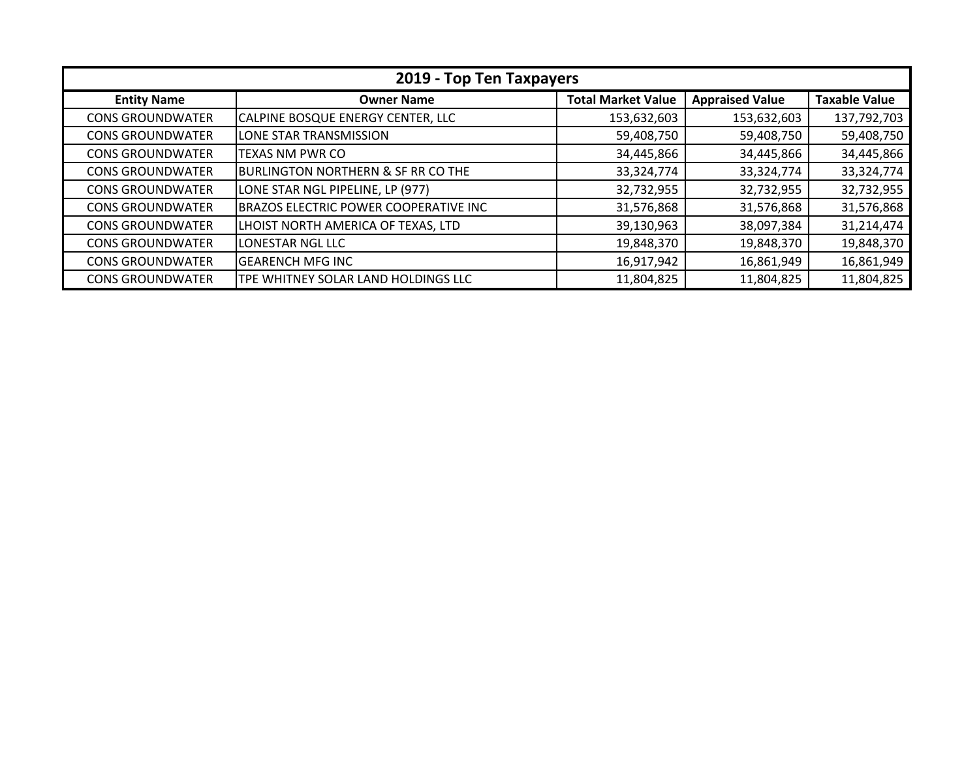| 2019 - Top Ten Taxpayers |                                               |                           |                        |                      |
|--------------------------|-----------------------------------------------|---------------------------|------------------------|----------------------|
| <b>Entity Name</b>       | <b>Owner Name</b>                             | <b>Total Market Value</b> | <b>Appraised Value</b> | <b>Taxable Value</b> |
| <b>CONS GROUNDWATER</b>  | CALPINE BOSQUE ENERGY CENTER, LLC             | 153,632,603               | 153,632,603            | 137,792,703          |
| <b>CONS GROUNDWATER</b>  | LONE STAR TRANSMISSION                        | 59,408,750                | 59,408,750             | 59,408,750           |
| <b>CONS GROUNDWATER</b>  | TEXAS NM PWR CO                               | 34,445,866                | 34,445,866             | 34,445,866           |
| <b>CONS GROUNDWATER</b>  | <b>BURLINGTON NORTHERN &amp; SF RR CO THE</b> | 33,324,774                | 33,324,774             | 33, 324, 774         |
| <b>CONS GROUNDWATER</b>  | LONE STAR NGL PIPELINE, LP (977)              | 32,732,955                | 32,732,955             | 32,732,955           |
| <b>CONS GROUNDWATER</b>  | <b>BRAZOS ELECTRIC POWER COOPERATIVE INC</b>  | 31,576,868                | 31,576,868             | 31,576,868           |
| <b>CONS GROUNDWATER</b>  | LHOIST NORTH AMERICA OF TEXAS, LTD            | 39,130,963                | 38,097,384             | 31,214,474           |
| <b>CONS GROUNDWATER</b>  | LONESTAR NGL LLC                              | 19,848,370                | 19,848,370             | 19,848,370           |
| <b>CONS GROUNDWATER</b>  | <b>GEARENCH MFG INC</b>                       | 16,917,942                | 16,861,949             | 16,861,949           |
| <b>CONS GROUNDWATER</b>  | TPE WHITNEY SOLAR LAND HOLDINGS LLC           | 11,804,825                | 11,804,825             | 11,804,825           |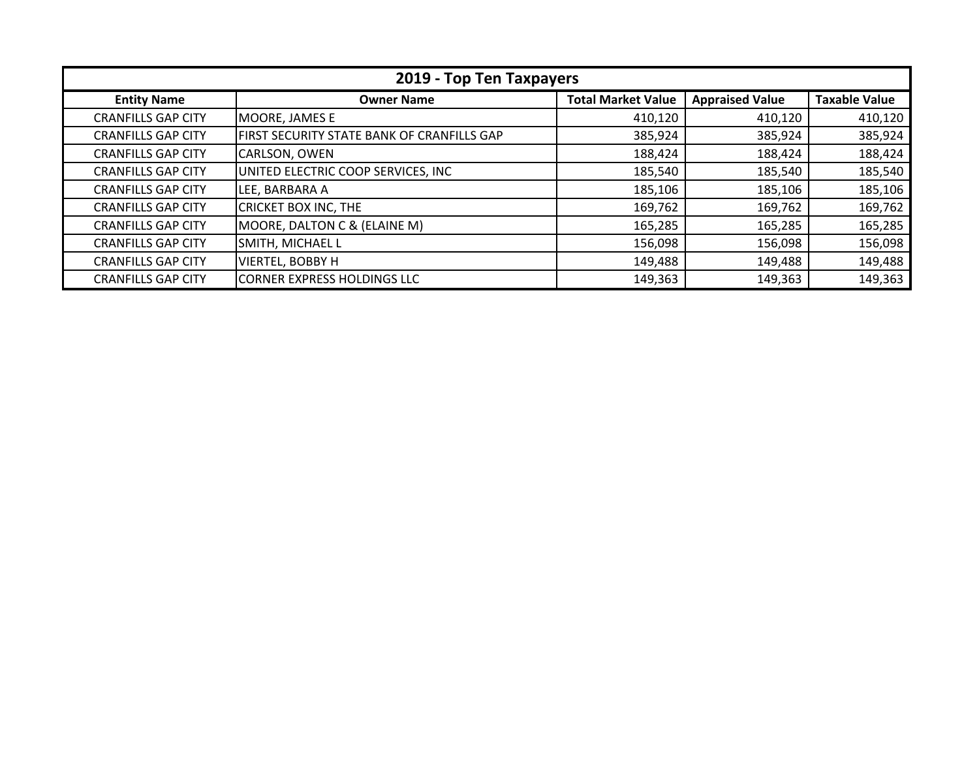| 2019 - Top Ten Taxpayers  |                                            |                           |                        |                      |
|---------------------------|--------------------------------------------|---------------------------|------------------------|----------------------|
| <b>Entity Name</b>        | <b>Owner Name</b>                          | <b>Total Market Value</b> | <b>Appraised Value</b> | <b>Taxable Value</b> |
| <b>CRANFILLS GAP CITY</b> | MOORE, JAMES E                             | 410,120                   | 410,120                | 410,120              |
| <b>CRANFILLS GAP CITY</b> | FIRST SECURITY STATE BANK OF CRANFILLS GAP | 385,924                   | 385,924                | 385,924              |
| <b>CRANFILLS GAP CITY</b> | CARLSON, OWEN                              | 188,424                   | 188,424                | 188,424              |
| <b>CRANFILLS GAP CITY</b> | UNITED ELECTRIC COOP SERVICES, INC         | 185,540                   | 185,540                | 185,540              |
| <b>CRANFILLS GAP CITY</b> | LEE, BARBARA A                             | 185,106                   | 185,106                | 185,106              |
| <b>CRANFILLS GAP CITY</b> | <b>CRICKET BOX INC, THE</b>                | 169,762                   | 169,762                | 169,762              |
| <b>CRANFILLS GAP CITY</b> | MOORE, DALTON C & (ELAINE M)               | 165,285                   | 165,285                | 165,285              |
| <b>CRANFILLS GAP CITY</b> | SMITH, MICHAEL L                           | 156,098                   | 156,098                | 156,098              |
| <b>CRANFILLS GAP CITY</b> | <b>VIERTEL, BOBBY H</b>                    | 149,488                   | 149,488                | 149,488              |
| <b>CRANFILLS GAP CITY</b> | <b>CORNER EXPRESS HOLDINGS LLC</b>         | 149,363                   | 149,363                | 149,363              |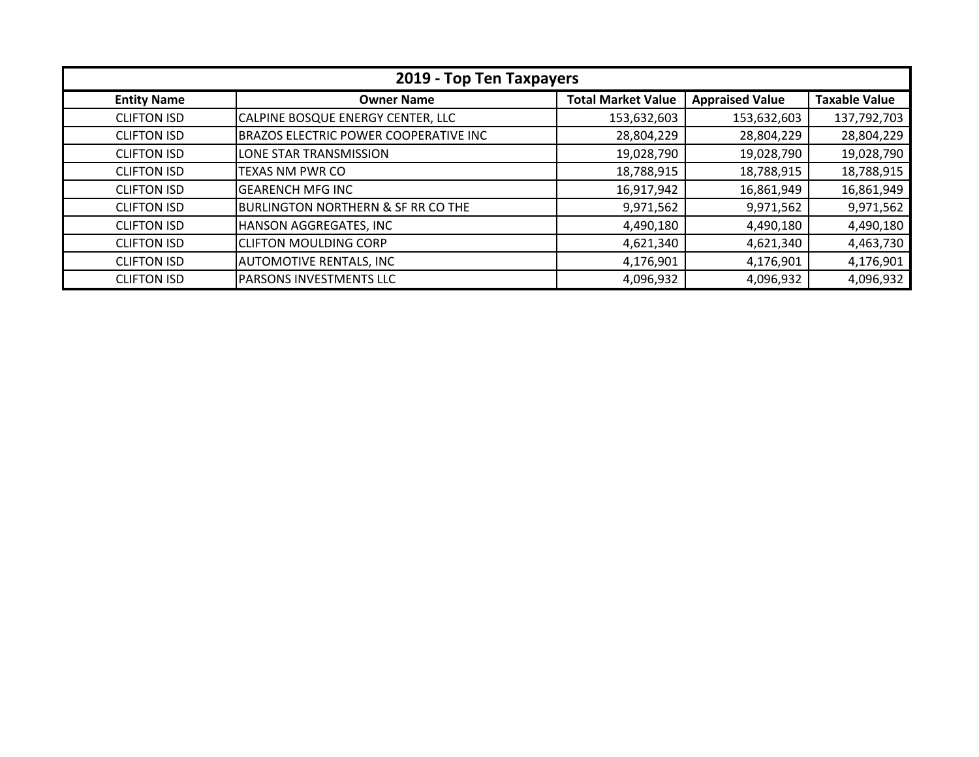| 2019 - Top Ten Taxpayers |                                               |                           |                        |                      |
|--------------------------|-----------------------------------------------|---------------------------|------------------------|----------------------|
| <b>Entity Name</b>       | <b>Owner Name</b>                             | <b>Total Market Value</b> | <b>Appraised Value</b> | <b>Taxable Value</b> |
| <b>CLIFTON ISD</b>       | CALPINE BOSQUE ENERGY CENTER, LLC             | 153,632,603               | 153,632,603            | 137,792,703          |
| <b>CLIFTON ISD</b>       | BRAZOS ELECTRIC POWER COOPERATIVE INC         | 28,804,229                | 28,804,229             | 28,804,229           |
| <b>CLIFTON ISD</b>       | LONE STAR TRANSMISSION                        | 19,028,790                | 19,028,790             | 19,028,790           |
| <b>CLIFTON ISD</b>       | <b>TEXAS NM PWR CO</b>                        | 18,788,915                | 18,788,915             | 18,788,915           |
| <b>CLIFTON ISD</b>       | <b>GEARENCH MFG INC</b>                       | 16,917,942                | 16,861,949             | 16,861,949           |
| <b>CLIFTON ISD</b>       | <b>BURLINGTON NORTHERN &amp; SF RR CO THE</b> | 9,971,562                 | 9,971,562              | 9,971,562            |
| <b>CLIFTON ISD</b>       | HANSON AGGREGATES, INC                        | 4,490,180                 | 4,490,180              | 4,490,180            |
| <b>CLIFTON ISD</b>       | <b>CLIFTON MOULDING CORP</b>                  | 4,621,340                 | 4,621,340              | 4,463,730            |
| <b>CLIFTON ISD</b>       | <b>AUTOMOTIVE RENTALS, INC</b>                | 4,176,901                 | 4,176,901              | 4,176,901            |
| <b>CLIFTON ISD</b>       | <b>PARSONS INVESTMENTS LLC</b>                | 4,096,932                 | 4,096,932              | 4,096,932            |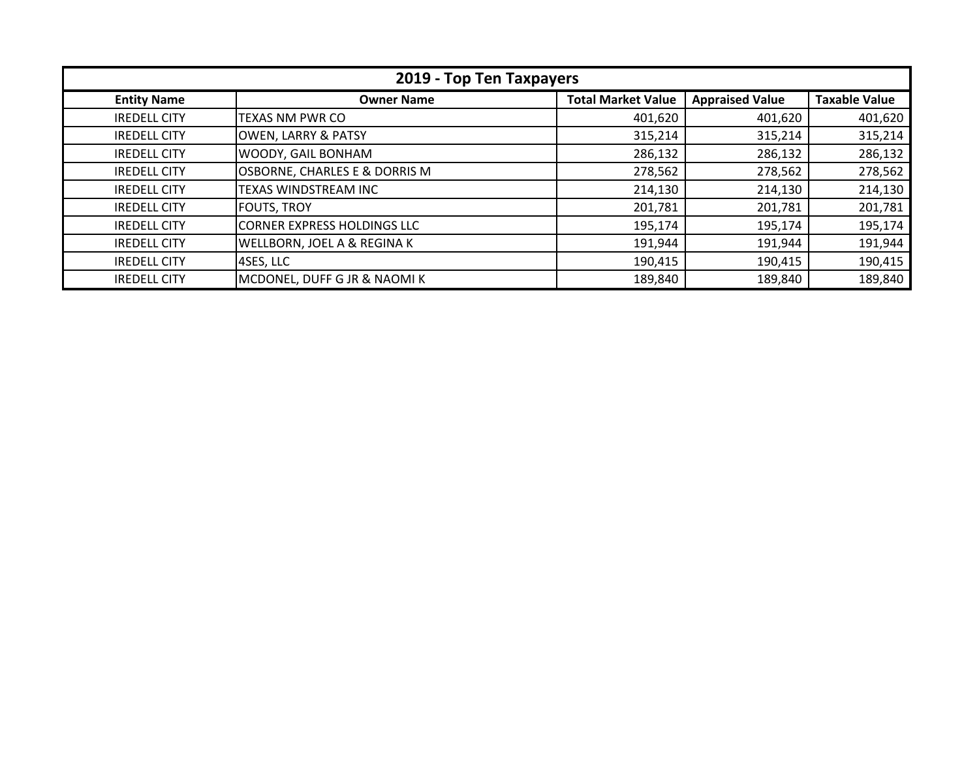| 2019 - Top Ten Taxpayers |                                    |                           |                        |                      |
|--------------------------|------------------------------------|---------------------------|------------------------|----------------------|
| <b>Entity Name</b>       | <b>Owner Name</b>                  | <b>Total Market Value</b> | <b>Appraised Value</b> | <b>Taxable Value</b> |
| <b>IREDELL CITY</b>      | <b>TEXAS NM PWR CO</b>             | 401,620                   | 401,620                | 401,620              |
| <b>IREDELL CITY</b>      | <b>OWEN, LARRY &amp; PATSY</b>     | 315,214                   | 315,214                | 315,214              |
| <b>IREDELL CITY</b>      | WOODY, GAIL BONHAM                 | 286,132                   | 286,132                | 286,132              |
| <b>IREDELL CITY</b>      | OSBORNE, CHARLES E & DORRIS M      | 278,562                   | 278,562                | 278,562              |
| <b>IREDELL CITY</b>      | TEXAS WINDSTREAM INC               | 214,130                   | 214,130                | 214,130              |
| <b>IREDELL CITY</b>      | <b>FOUTS, TROY</b>                 | 201,781                   | 201,781                | 201,781              |
| <b>IREDELL CITY</b>      | <b>CORNER EXPRESS HOLDINGS LLC</b> | 195,174                   | 195,174                | 195,174              |
| <b>IREDELL CITY</b>      | WELLBORN, JOEL A & REGINA K        | 191,944                   | 191,944                | 191,944              |
| <b>IREDELL CITY</b>      | 4SES, LLC                          | 190,415                   | 190,415                | 190,415              |
| <b>IREDELL CITY</b>      | MCDONEL, DUFF G JR & NAOMIK        | 189,840                   | 189,840                | 189,840              |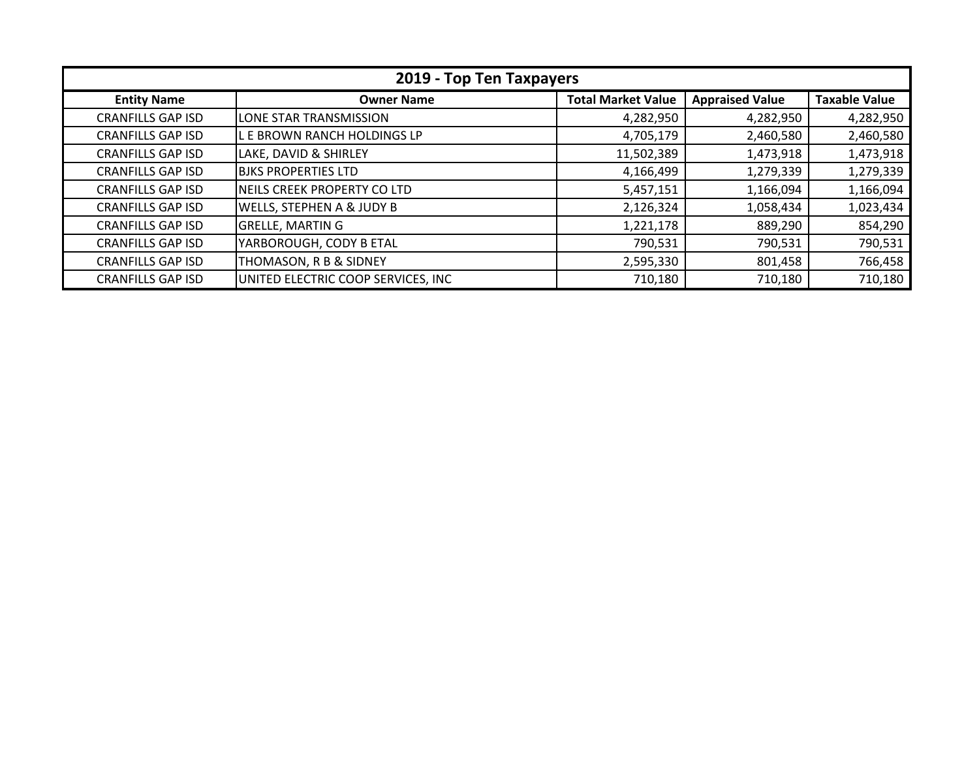| 2019 - Top Ten Taxpayers |                                    |                           |                        |                      |
|--------------------------|------------------------------------|---------------------------|------------------------|----------------------|
| <b>Entity Name</b>       | <b>Owner Name</b>                  | <b>Total Market Value</b> | <b>Appraised Value</b> | <b>Taxable Value</b> |
| <b>CRANFILLS GAP ISD</b> | LONE STAR TRANSMISSION             | 4,282,950                 | 4,282,950              | 4,282,950            |
| <b>CRANFILLS GAP ISD</b> | L E BROWN RANCH HOLDINGS LP        | 4,705,179                 | 2,460,580              | 2,460,580            |
| <b>CRANFILLS GAP ISD</b> | LAKE, DAVID & SHIRLEY              | 11,502,389                | 1,473,918              | 1,473,918            |
| <b>CRANFILLS GAP ISD</b> | <b>BJKS PROPERTIES LTD</b>         | 4,166,499                 | 1,279,339              | 1,279,339            |
| <b>CRANFILLS GAP ISD</b> | NEILS CREEK PROPERTY CO LTD        | 5,457,151                 | 1,166,094              | 1,166,094            |
| <b>CRANFILLS GAP ISD</b> | WELLS, STEPHEN A & JUDY B          | 2,126,324                 | 1,058,434              | 1,023,434            |
| <b>CRANFILLS GAP ISD</b> | <b>GRELLE, MARTIN G</b>            | 1,221,178                 | 889,290                | 854,290              |
| <b>CRANFILLS GAP ISD</b> | YARBOROUGH, CODY B ETAL            | 790,531                   | 790,531                | 790,531              |
| <b>CRANFILLS GAP ISD</b> | THOMASON, R B & SIDNEY             | 2,595,330                 | 801,458                | 766,458              |
| <b>CRANFILLS GAP ISD</b> | UNITED ELECTRIC COOP SERVICES, INC | 710,180                   | 710,180                | 710,180              |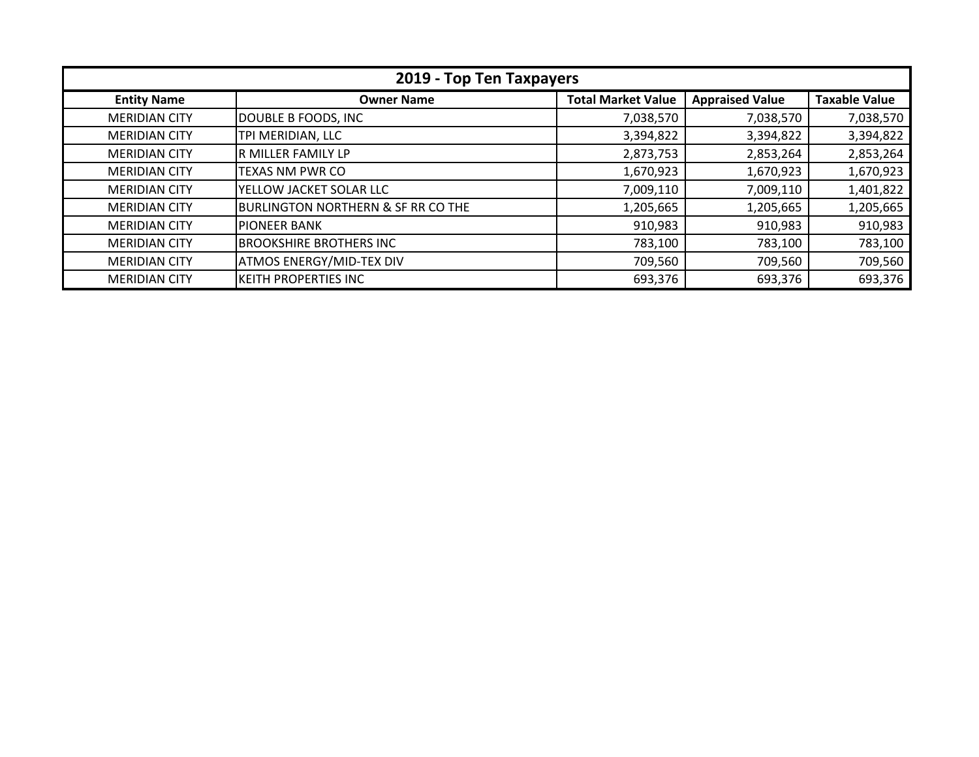| 2019 - Top Ten Taxpayers |                                               |                           |                        |                      |
|--------------------------|-----------------------------------------------|---------------------------|------------------------|----------------------|
| <b>Entity Name</b>       | <b>Owner Name</b>                             | <b>Total Market Value</b> | <b>Appraised Value</b> | <b>Taxable Value</b> |
| <b>MERIDIAN CITY</b>     | DOUBLE B FOODS, INC                           | 7,038,570                 | 7,038,570              | 7,038,570            |
| <b>MERIDIAN CITY</b>     | TPI MERIDIAN, LLC                             | 3,394,822                 | 3,394,822              | 3,394,822            |
| <b>MERIDIAN CITY</b>     | R MILLER FAMILY LP                            | 2,873,753                 | 2,853,264              | 2,853,264            |
| <b>MERIDIAN CITY</b>     | <b>TEXAS NM PWR CO</b>                        | 1,670,923                 | 1,670,923              | 1,670,923            |
| <b>MERIDIAN CITY</b>     | YELLOW JACKET SOLAR LLC                       | 7,009,110                 | 7,009,110              | 1,401,822            |
| <b>MERIDIAN CITY</b>     | <b>BURLINGTON NORTHERN &amp; SF RR CO THE</b> | 1,205,665                 | 1,205,665              | 1,205,665            |
| <b>MERIDIAN CITY</b>     | <b>IPIONEER BANK</b>                          | 910,983                   | 910,983                | 910,983              |
| <b>MERIDIAN CITY</b>     | <b>BROOKSHIRE BROTHERS INC</b>                | 783,100                   | 783,100                | 783,100              |
| <b>MERIDIAN CITY</b>     | <b>ATMOS ENERGY/MID-TEX DIV</b>               | 709,560                   | 709,560                | 709,560              |
| <b>MERIDIAN CITY</b>     | <b>KEITH PROPERTIES INC</b>                   | 693,376                   | 693,376                | 693,376              |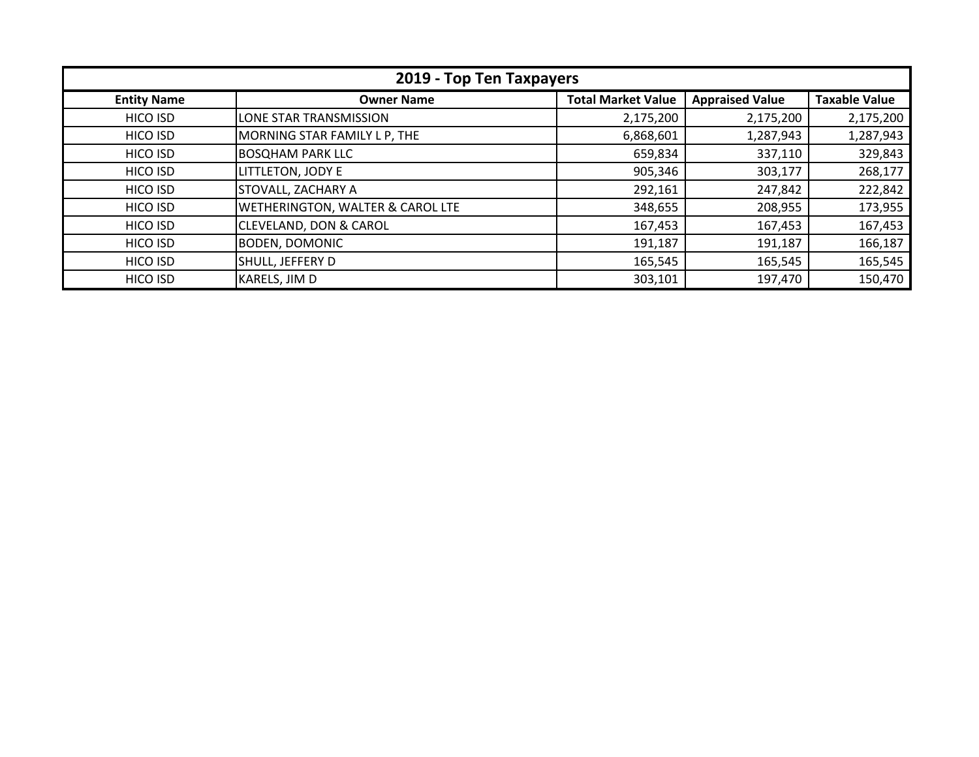| 2019 - Top Ten Taxpayers |                                   |                           |                        |                      |
|--------------------------|-----------------------------------|---------------------------|------------------------|----------------------|
| <b>Entity Name</b>       | <b>Owner Name</b>                 | <b>Total Market Value</b> | <b>Appraised Value</b> | <b>Taxable Value</b> |
| <b>HICO ISD</b>          | LONE STAR TRANSMISSION            | 2,175,200                 | 2,175,200              | 2,175,200            |
| HICO ISD                 | MORNING STAR FAMILY L P, THE      | 6,868,601                 | 1,287,943              | 1,287,943            |
| HICO ISD                 | <b>BOSQHAM PARK LLC</b>           | 659,834                   | 337,110                | 329,843              |
| HICO ISD                 | LITTLETON, JODY E                 | 905,346                   | 303,177                | 268,177              |
| HICO ISD                 | <b>STOVALL, ZACHARY A</b>         | 292,161                   | 247,842                | 222,842              |
| HICO ISD                 | WETHERINGTON, WALTER & CAROL LTE  | 348,655                   | 208,955                | 173,955              |
| HICO ISD                 | <b>CLEVELAND, DON &amp; CAROL</b> | 167,453                   | 167,453                | 167,453              |
| HICO ISD                 | <b>BODEN, DOMONIC</b>             | 191,187                   | 191,187                | 166,187              |
| HICO ISD                 | SHULL, JEFFERY D                  | 165,545                   | 165,545                | 165,545              |
| HICO ISD                 | KARELS, JIM D                     | 303,101                   | 197,470                | 150,470              |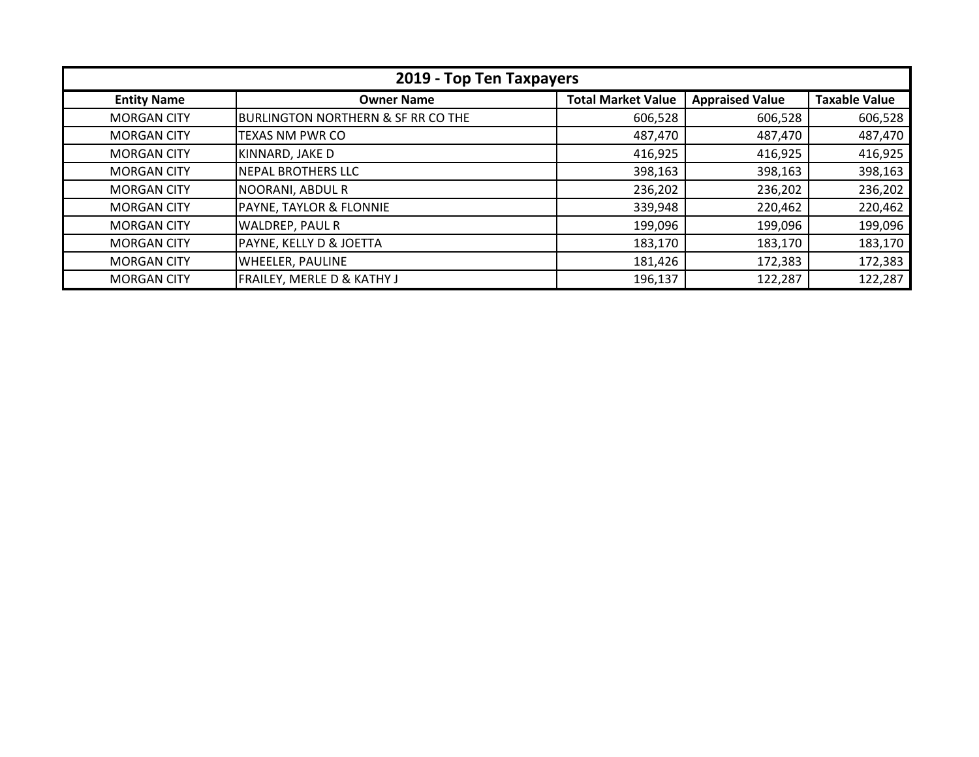| 2019 - Top Ten Taxpayers |                                               |                           |                        |                      |
|--------------------------|-----------------------------------------------|---------------------------|------------------------|----------------------|
| <b>Entity Name</b>       | <b>Owner Name</b>                             | <b>Total Market Value</b> | <b>Appraised Value</b> | <b>Taxable Value</b> |
| <b>MORGAN CITY</b>       | <b>BURLINGTON NORTHERN &amp; SF RR CO THE</b> | 606,528                   | 606,528                | 606,528              |
| <b>MORGAN CITY</b>       | <b>TEXAS NM PWR CO</b>                        | 487,470                   | 487,470                | 487,470              |
| <b>MORGAN CITY</b>       | KINNARD, JAKE D                               | 416,925                   | 416,925                | 416,925              |
| <b>MORGAN CITY</b>       | NEPAL BROTHERS LLC                            | 398,163                   | 398,163                | 398,163              |
| <b>MORGAN CITY</b>       | NOORANI, ABDUL R                              | 236,202                   | 236,202                | 236,202              |
| <b>MORGAN CITY</b>       | PAYNE, TAYLOR & FLONNIE                       | 339,948                   | 220,462                | 220,462              |
| <b>MORGAN CITY</b>       | WALDREP, PAUL R                               | 199,096                   | 199,096                | 199,096              |
| <b>MORGAN CITY</b>       | PAYNE, KELLY D & JOETTA                       | 183,170                   | 183,170                | 183,170              |
| <b>MORGAN CITY</b>       | <b>WHEELER, PAULINE</b>                       | 181,426                   | 172,383                | 172,383              |
| <b>MORGAN CITY</b>       | <b>FRAILEY, MERLE D &amp; KATHY J</b>         | 196,137                   | 122,287                | 122,287              |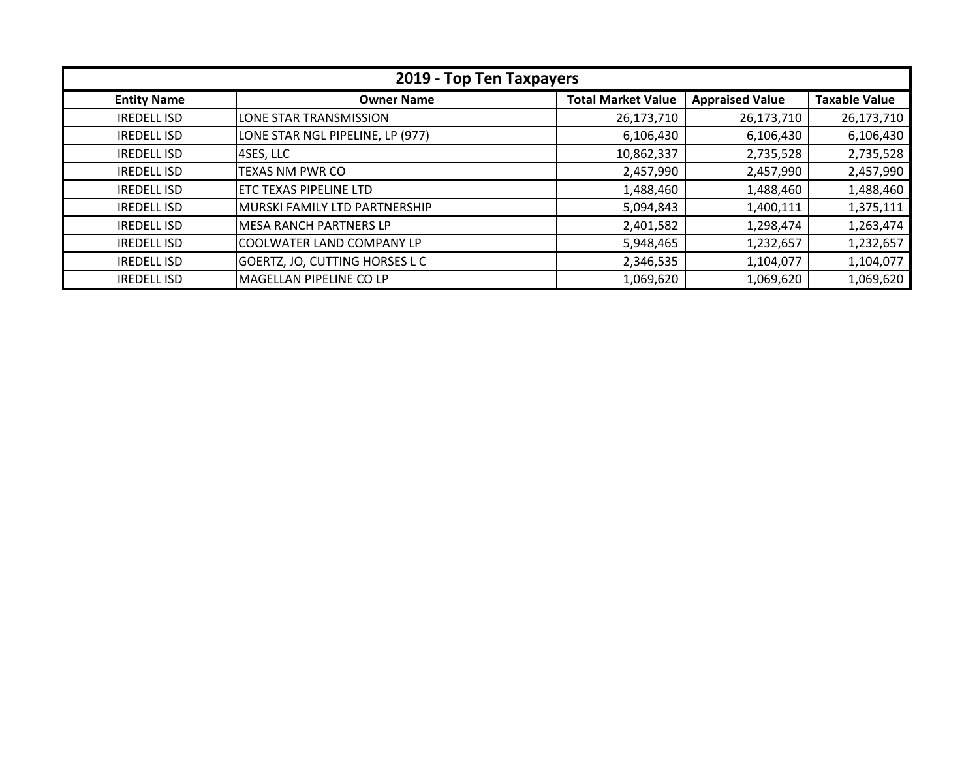| 2019 - Top Ten Taxpayers |                                  |                           |                        |                      |
|--------------------------|----------------------------------|---------------------------|------------------------|----------------------|
| <b>Entity Name</b>       | <b>Owner Name</b>                | <b>Total Market Value</b> | <b>Appraised Value</b> | <b>Taxable Value</b> |
| <b>IREDELL ISD</b>       | LONE STAR TRANSMISSION           | 26,173,710                | 26,173,710             | 26,173,710           |
| <b>IREDELL ISD</b>       | LONE STAR NGL PIPELINE, LP (977) | 6,106,430                 | 6,106,430              | 6,106,430            |
| <b>IREDELL ISD</b>       | 4SES, LLC                        | 10,862,337                | 2,735,528              | 2,735,528            |
| <b>IREDELL ISD</b>       | <b>TEXAS NM PWR CO</b>           | 2,457,990                 | 2,457,990              | 2,457,990            |
| <b>IREDELL ISD</b>       | ETC TEXAS PIPELINE LTD           | 1,488,460                 | 1,488,460              | 1,488,460            |
| <b>IREDELL ISD</b>       | MURSKI FAMILY LTD PARTNERSHIP    | 5,094,843                 | 1,400,111              | 1,375,111            |
| <b>IREDELL ISD</b>       | <b>MESA RANCH PARTNERS LP</b>    | 2,401,582                 | 1,298,474              | 1,263,474            |
| <b>IREDELL ISD</b>       | COOLWATER LAND COMPANY LP        | 5,948,465                 | 1,232,657              | 1,232,657            |
| <b>IREDELL ISD</b>       | GOERTZ, JO, CUTTING HORSES L C   | 2,346,535                 | 1,104,077              | 1,104,077            |
| <b>IREDELL ISD</b>       | MAGELLAN PIPELINE CO LP          | 1,069,620                 | 1,069,620              | 1,069,620            |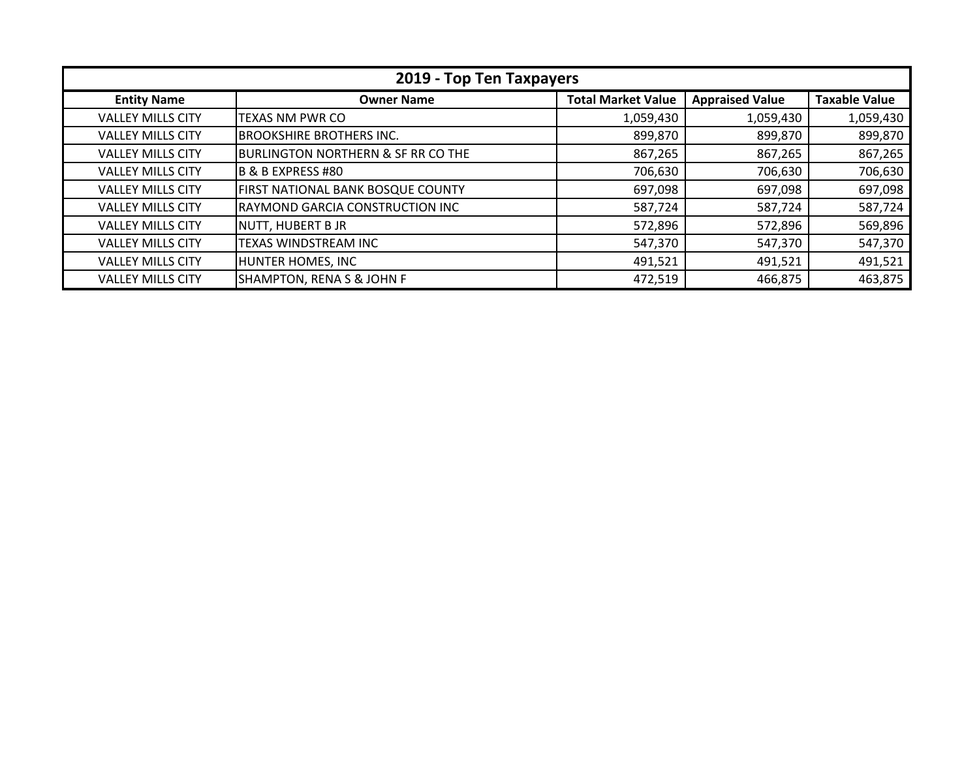| 2019 - Top Ten Taxpayers |                                               |                           |                        |                      |
|--------------------------|-----------------------------------------------|---------------------------|------------------------|----------------------|
| <b>Entity Name</b>       | <b>Owner Name</b>                             | <b>Total Market Value</b> | <b>Appraised Value</b> | <b>Taxable Value</b> |
| <b>VALLEY MILLS CITY</b> | <b>TEXAS NM PWR CO</b>                        | 1,059,430                 | 1,059,430              | 1,059,430            |
| <b>VALLEY MILLS CITY</b> | <b>BROOKSHIRE BROTHERS INC.</b>               | 899,870                   | 899,870                | 899,870              |
| <b>VALLEY MILLS CITY</b> | <b>BURLINGTON NORTHERN &amp; SF RR CO THE</b> | 867,265                   | 867,265                | 867,265              |
| <b>VALLEY MILLS CITY</b> | B & B EXPRESS #80                             | 706,630                   | 706,630                | 706,630              |
| <b>VALLEY MILLS CITY</b> | <b>FIRST NATIONAL BANK BOSQUE COUNTY</b>      | 697,098                   | 697,098                | 697,098              |
| <b>VALLEY MILLS CITY</b> | RAYMOND GARCIA CONSTRUCTION INC               | 587,724                   | 587,724                | 587,724              |
| <b>VALLEY MILLS CITY</b> | NUTT, HUBERT B JR                             | 572,896                   | 572,896                | 569,896              |
| <b>VALLEY MILLS CITY</b> | TEXAS WINDSTREAM INC                          | 547,370                   | 547,370                | 547,370              |
| <b>VALLEY MILLS CITY</b> | HUNTER HOMES, INC                             | 491,521                   | 491,521                | 491,521              |
| <b>VALLEY MILLS CITY</b> | <b>SHAMPTON, RENA S &amp; JOHN F</b>          | 472,519                   | 466,875                | 463,875              |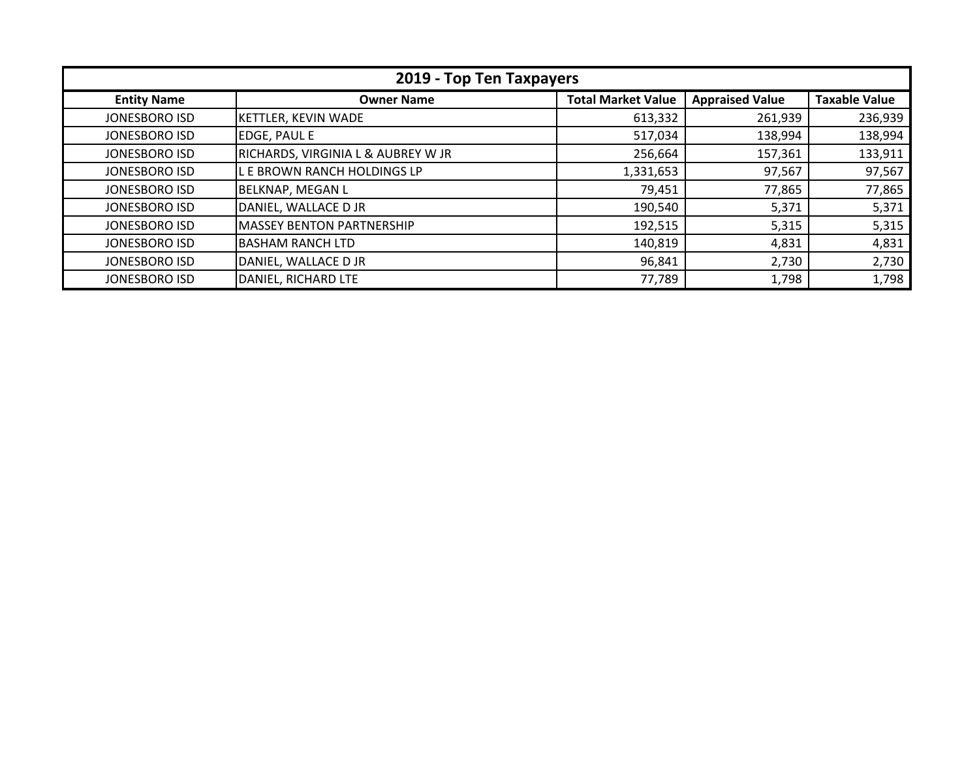| 2019 - Top Ten Taxpayers |                                    |                           |                        |                      |  |
|--------------------------|------------------------------------|---------------------------|------------------------|----------------------|--|
| <b>Entity Name</b>       | <b>Owner Name</b>                  | <b>Total Market Value</b> | <b>Appraised Value</b> | <b>Taxable Value</b> |  |
| JONESBORO ISD            | <b>KETTLER, KEVIN WADE</b>         | 613,332                   | 261,939                | 236,939              |  |
| JONESBORO ISD            | <b>EDGE, PAUL E</b>                | 517,034                   | 138,994                | 138,994              |  |
| JONESBORO ISD            | RICHARDS, VIRGINIA L & AUBREY W JR | 256,664                   | 157,361                | 133,911              |  |
| JONESBORO ISD            | L E BROWN RANCH HOLDINGS LP        | 1,331,653                 | 97,567                 | 97,567               |  |
| JONESBORO ISD            | <b>BELKNAP, MEGAN L</b>            | 79,451                    | 77,865                 | 77,865               |  |
| JONESBORO ISD            | DANIEL, WALLACE D JR               | 190,540                   | 5,371                  | 5,371                |  |
| JONESBORO ISD            | <b>MASSEY BENTON PARTNERSHIP</b>   | 192,515                   | 5,315                  | 5,315                |  |
| JONESBORO ISD            | BASHAM RANCH LTD                   | 140,819                   | 4,831                  | 4,831                |  |
| JONESBORO ISD            | DANIEL, WALLACE D JR               | 96,841                    | 2,730                  | 2,730                |  |
| <b>JONESBORO ISD</b>     | DANIEL, RICHARD LTE                | 77,789                    | 1,798                  | 1,798                |  |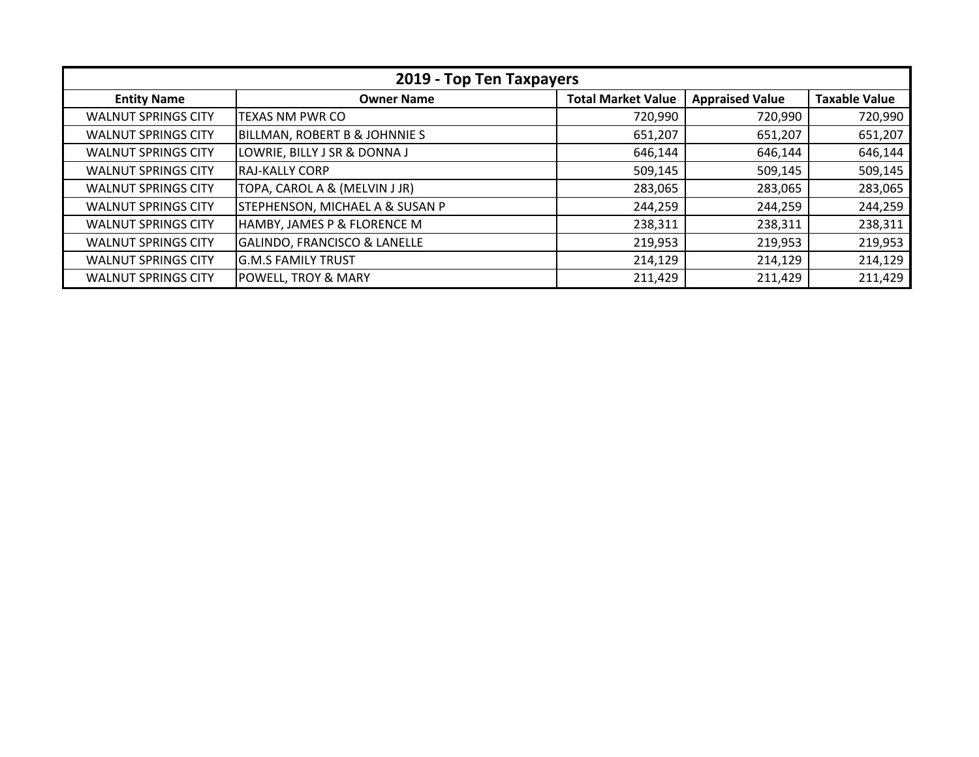| 2019 - Top Ten Taxpayers   |                                            |                           |                        |                      |  |
|----------------------------|--------------------------------------------|---------------------------|------------------------|----------------------|--|
| <b>Entity Name</b>         | <b>Owner Name</b>                          | <b>Total Market Value</b> | <b>Appraised Value</b> | <b>Taxable Value</b> |  |
| <b>WALNUT SPRINGS CITY</b> | <b>TEXAS NM PWR CO</b>                     | 720,990                   | 720,990                | 720,990              |  |
| <b>WALNUT SPRINGS CITY</b> | <b>BILLMAN, ROBERT B &amp; JOHNNIE S</b>   | 651,207                   | 651,207                | 651,207              |  |
| <b>WALNUT SPRINGS CITY</b> | LOWRIE, BILLY J SR & DONNA J               | 646,144                   | 646,144                | 646,144              |  |
| <b>WALNUT SPRINGS CITY</b> | IRAJ-KALLY CORP                            | 509,145                   | 509,145                | 509,145              |  |
| <b>WALNUT SPRINGS CITY</b> | TOPA, CAROL A & (MELVIN J JR)              | 283,065                   | 283,065                | 283,065              |  |
| <b>WALNUT SPRINGS CITY</b> | <b>STEPHENSON, MICHAEL A &amp; SUSAN P</b> | 244,259                   | 244,259                | 244,259              |  |
| <b>WALNUT SPRINGS CITY</b> | HAMBY, JAMES P & FLORENCE M                | 238,311                   | 238,311                | 238,311              |  |
| <b>WALNUT SPRINGS CITY</b> | GALINDO, FRANCISCO & LANELLE               | 219,953                   | 219,953                | 219,953              |  |
| <b>WALNUT SPRINGS CITY</b> | <b>G.M.S FAMILY TRUST</b>                  | 214,129                   | 214,129                | 214,129              |  |
| <b>WALNUT SPRINGS CITY</b> | <b>POWELL, TROY &amp; MARY</b>             | 211,429                   | 211,429                | 211,429              |  |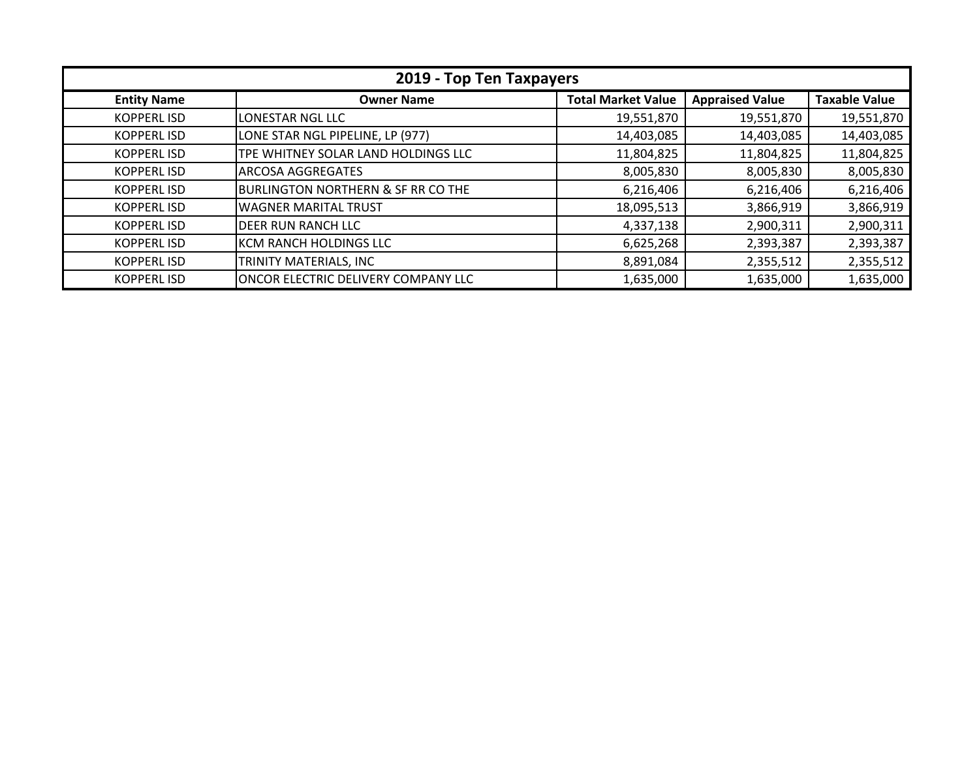| 2019 - Top Ten Taxpayers |                                               |                           |                        |                      |  |
|--------------------------|-----------------------------------------------|---------------------------|------------------------|----------------------|--|
| <b>Entity Name</b>       | <b>Owner Name</b>                             | <b>Total Market Value</b> | <b>Appraised Value</b> | <b>Taxable Value</b> |  |
| <b>KOPPERLISD</b>        | LONESTAR NGL LLC                              | 19,551,870                | 19,551,870             | 19,551,870           |  |
| <b>KOPPERL ISD</b>       | LONE STAR NGL PIPELINE, LP (977)              | 14,403,085                | 14,403,085             | 14,403,085           |  |
| <b>KOPPERL ISD</b>       | TPE WHITNEY SOLAR LAND HOLDINGS LLC           | 11,804,825                | 11,804,825             | 11,804,825           |  |
| <b>KOPPERL ISD</b>       | <b>ARCOSA AGGREGATES</b>                      | 8,005,830                 | 8,005,830              | 8,005,830            |  |
| <b>KOPPERL ISD</b>       | <b>BURLINGTON NORTHERN &amp; SF RR CO THE</b> | 6,216,406                 | 6,216,406              | 6,216,406            |  |
| <b>KOPPERL ISD</b>       | <b>WAGNER MARITAL TRUST</b>                   | 18,095,513                | 3,866,919              | 3,866,919            |  |
| <b>KOPPERL ISD</b>       | <b>DEER RUN RANCH LLC</b>                     | 4,337,138                 | 2,900,311              | 2,900,311            |  |
| <b>KOPPERL ISD</b>       | KCM RANCH HOLDINGS LLC                        | 6,625,268                 | 2,393,387              | 2,393,387            |  |
| <b>KOPPERL ISD</b>       | TRINITY MATERIALS, INC                        | 8,891,084                 | 2,355,512              | 2,355,512            |  |
| <b>KOPPERL ISD</b>       | ONCOR ELECTRIC DELIVERY COMPANY LLC           | 1,635,000                 | 1,635,000              | 1,635,000            |  |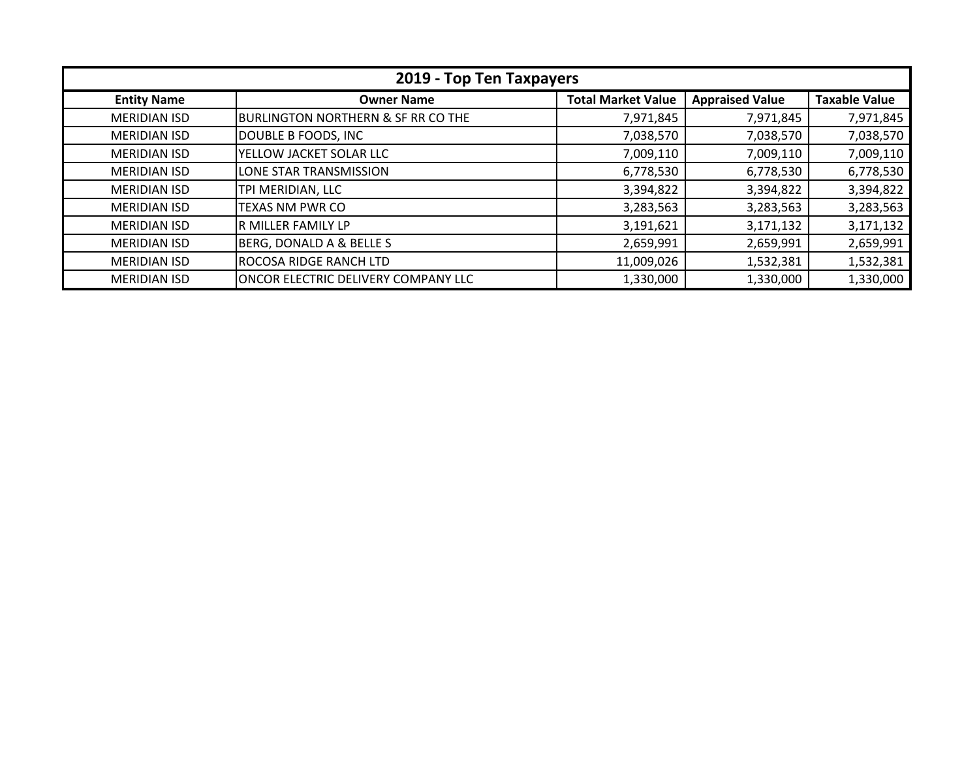| 2019 - Top Ten Taxpayers |                                               |                           |                        |                      |
|--------------------------|-----------------------------------------------|---------------------------|------------------------|----------------------|
| <b>Entity Name</b>       | <b>Owner Name</b>                             | <b>Total Market Value</b> | <b>Appraised Value</b> | <b>Taxable Value</b> |
| <b>MERIDIAN ISD</b>      | <b>BURLINGTON NORTHERN &amp; SF RR CO THE</b> | 7,971,845                 | 7,971,845              | 7,971,845            |
| <b>MERIDIAN ISD</b>      | DOUBLE B FOODS, INC                           | 7,038,570                 | 7,038,570              | 7,038,570            |
| <b>MERIDIAN ISD</b>      | YELLOW JACKET SOLAR LLC                       | 7,009,110                 | 7,009,110              | 7,009,110            |
| <b>MERIDIAN ISD</b>      | LONE STAR TRANSMISSION                        | 6,778,530                 | 6,778,530              | 6,778,530            |
| <b>MERIDIAN ISD</b>      | TPI MERIDIAN, LLC                             | 3,394,822                 | 3,394,822              | 3,394,822            |
| <b>MERIDIAN ISD</b>      | TEXAS NM PWR CO                               | 3,283,563                 | 3,283,563              | 3,283,563            |
| <b>MERIDIAN ISD</b>      | R MILLER FAMILY LP                            | 3,191,621                 | 3,171,132              | 3,171,132            |
| <b>MERIDIAN ISD</b>      | BERG, DONALD A & BELLE S                      | 2,659,991                 | 2,659,991              | 2,659,991            |
| <b>MERIDIAN ISD</b>      | ROCOSA RIDGE RANCH LTD                        | 11,009,026                | 1,532,381              | 1,532,381            |
| <b>MERIDIAN ISD</b>      | ONCOR ELECTRIC DELIVERY COMPANY LLC           | 1,330,000                 | 1,330,000              | 1,330,000            |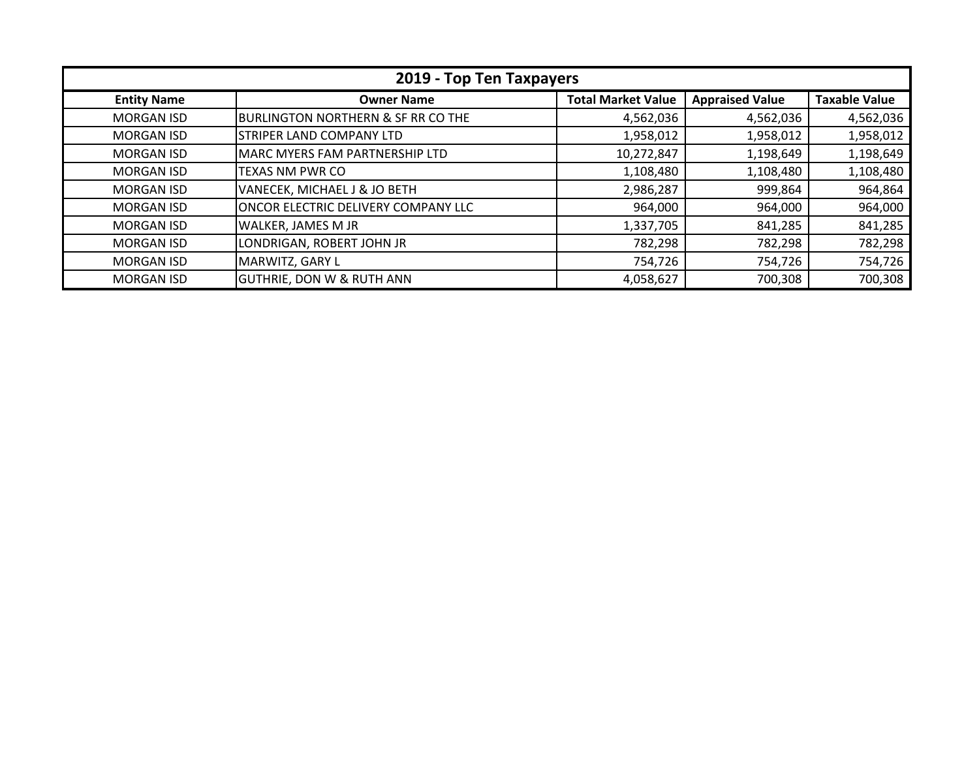| 2019 - Top Ten Taxpayers |                                               |                           |                        |                      |
|--------------------------|-----------------------------------------------|---------------------------|------------------------|----------------------|
| <b>Entity Name</b>       | <b>Owner Name</b>                             | <b>Total Market Value</b> | <b>Appraised Value</b> | <b>Taxable Value</b> |
| <b>MORGAN ISD</b>        | <b>BURLINGTON NORTHERN &amp; SF RR CO THE</b> | 4,562,036                 | 4,562,036              | 4,562,036            |
| <b>MORGAN ISD</b>        | <b>STRIPER LAND COMPANY LTD</b>               | 1,958,012                 | 1,958,012              | 1,958,012            |
| <b>MORGAN ISD</b>        | MARC MYERS FAM PARTNERSHIP LTD                | 10,272,847                | 1,198,649              | 1,198,649            |
| <b>MORGAN ISD</b>        | <b>TEXAS NM PWR CO</b>                        | 1,108,480                 | 1,108,480              | 1,108,480            |
| <b>MORGAN ISD</b>        | VANECEK, MICHAEL J & JO BETH                  | 2,986,287                 | 999,864                | 964,864              |
| <b>MORGAN ISD</b>        | ONCOR ELECTRIC DELIVERY COMPANY LLC           | 964,000                   | 964,000                | 964,000              |
| <b>MORGAN ISD</b>        | WALKER, JAMES M JR                            | 1,337,705                 | 841,285                | 841,285              |
| <b>MORGAN ISD</b>        | LONDRIGAN, ROBERT JOHN JR                     | 782,298                   | 782,298                | 782,298              |
| <b>MORGAN ISD</b>        | MARWITZ, GARY L                               | 754,726                   | 754,726                | 754,726              |
| <b>MORGAN ISD</b>        | <b>GUTHRIE, DON W &amp; RUTH ANN</b>          | 4,058,627                 | 700,308                | 700,308              |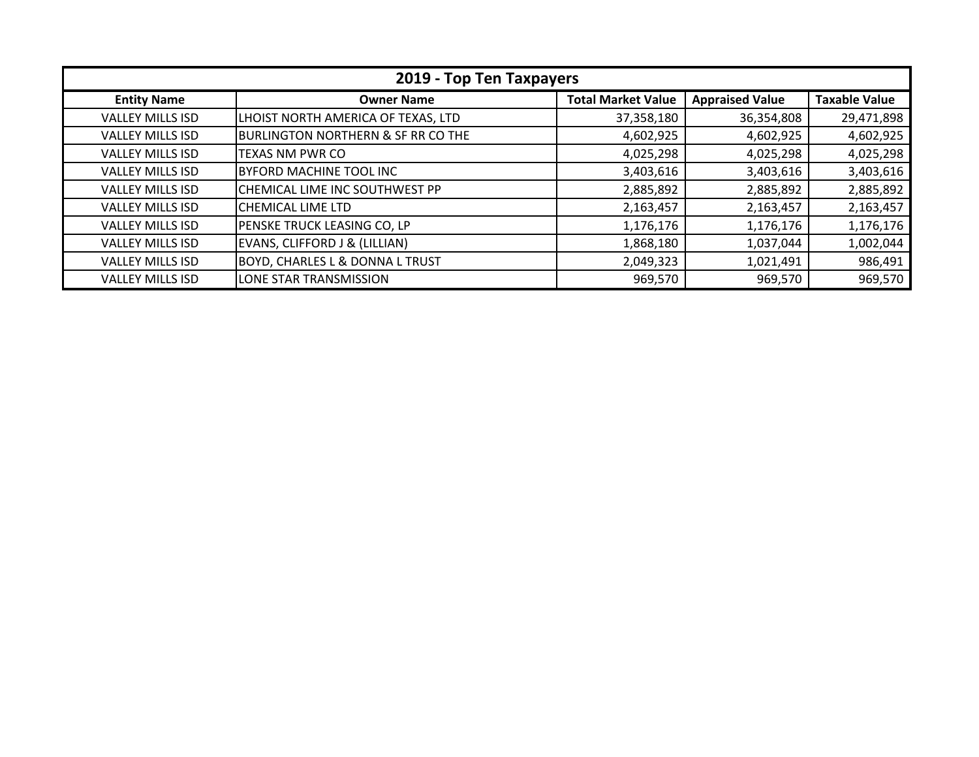| 2019 - Top Ten Taxpayers |                                               |                           |                        |                      |
|--------------------------|-----------------------------------------------|---------------------------|------------------------|----------------------|
| <b>Entity Name</b>       | <b>Owner Name</b>                             | <b>Total Market Value</b> | <b>Appraised Value</b> | <b>Taxable Value</b> |
| <b>VALLEY MILLS ISD</b>  | LHOIST NORTH AMERICA OF TEXAS, LTD            | 37,358,180                | 36,354,808             | 29,471,898           |
| <b>VALLEY MILLS ISD</b>  | <b>BURLINGTON NORTHERN &amp; SF RR CO THE</b> | 4,602,925                 | 4,602,925              | 4,602,925            |
| <b>VALLEY MILLS ISD</b>  | <b>TEXAS NM PWR CO</b>                        | 4,025,298                 | 4,025,298              | 4,025,298            |
| <b>VALLEY MILLS ISD</b>  | <b>BYFORD MACHINE TOOL INC</b>                | 3,403,616                 | 3,403,616              | 3,403,616            |
| <b>VALLEY MILLS ISD</b>  | CHEMICAL LIME INC SOUTHWEST PP                | 2,885,892                 | 2,885,892              | 2,885,892            |
| <b>VALLEY MILLS ISD</b>  | CHEMICAL LIME LTD                             | 2,163,457                 | 2,163,457              | 2,163,457            |
| <b>VALLEY MILLS ISD</b>  | PENSKE TRUCK LEASING CO, LP                   | 1,176,176                 | 1,176,176              | 1,176,176            |
| <b>VALLEY MILLS ISD</b>  | EVANS, CLIFFORD J & (LILLIAN)                 | 1,868,180                 | 1,037,044              | 1,002,044            |
| <b>VALLEY MILLS ISD</b>  | <b>BOYD, CHARLES L &amp; DONNA L TRUST</b>    | 2,049,323                 | 1,021,491              | 986,491              |
| <b>VALLEY MILLS ISD</b>  | LONE STAR TRANSMISSION                        | 969,570                   | 969,570                | 969,570              |